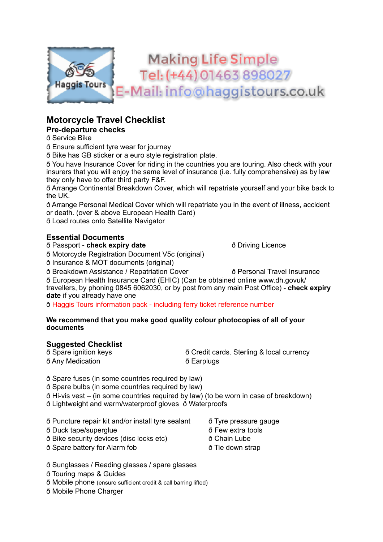

# **Motorcycle Travel Checklist**

### **Pre-departure checks**

ð Service Bike

ð Ensure sufficient tyre wear for journey

ð Bike has GB sticker or a euro style registration plate.

ð You have Insurance Cover for riding in the countries you are touring. Also check with your insurers that you will enjoy the same level of insurance (i.e. fully comprehensive) as by law they only have to offer third party F&F.

ð Arrange Continental Breakdown Cover, which will repatriate yourself and your bike back to the UK.

ð Arrange Personal Medical Cover which will repatriate you in the event of illness, accident or death. (over & above European Health Card)

ð Load routes onto Satellite Navigator

### **Essential Documents**

ð Passport - **check expiry date** ð Driving Licence

ð Motorcycle Registration Document V5c (original)

ð Insurance & MOT documents (original)

ð Breakdown Assistance / Repatriation Cover ð Personal Travel Insurance

ð European Health Insurance Card (EHIC) (Can be obtained online www.dh.govuk/ travellers, by phoning 0845 6062030, or by post from any main Post Office) - **check expiry date** if you already have one

ð Haggis Tours information pack - including ferry ticket reference number

#### **We recommend that you make good quality colour photocopies of all of your documents**

### **Suggested Checklist**

| ð Spare ignition keys | ð Credit cards. Sterling & local currency |
|-----------------------|-------------------------------------------|
| ð Any Medication      | ð Earplugs                                |

ð Spare fuses (in some countries required by law)

ð Spare bulbs (in some countries required by law)

ð Hi-vis vest – (in some countries required by law) (to be worn in case of breakdown) ð Lightweight and warm/waterproof gloves ð Waterproofs

ð Puncture repair kit and/or install tyre sealant ð Tyre pressure gauge

ð Duck tape/superglue ð Few extra tools

- ð Bike security devices (disc locks etc) ð Chain Lube
- ð Spare battery for Alarm fob ð Tie down strap

- 
- 
- 

ð Sunglasses / Reading glasses / spare glasses

ð Touring maps & Guides

ð Mobile phone (ensure sufficient credit & call barring lifted)

ð Mobile Phone Charger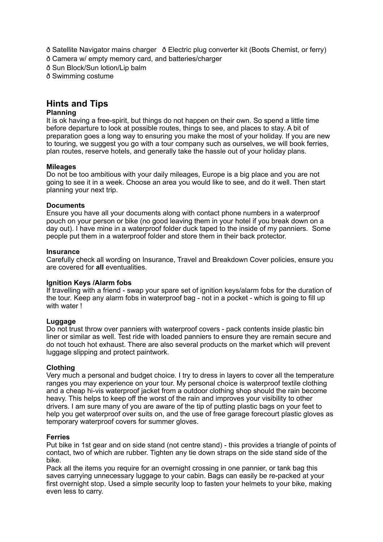ð Satellite Navigator mains charger ð Electric plug converter kit (Boots Chemist, or ferry)

ð Camera w/ empty memory card, and batteries/charger

ð Sun Block/Sun lotion/Lip balm

ð Swimming costume

## **Hints and Tips**

#### **Planning**

It is ok having a free-spirit, but things do not happen on their own. So spend a little time before departure to look at possible routes, things to see, and places to stay. A bit of preparation goes a long way to ensuring you make the most of your holiday. If you are new to touring, we suggest you go with a tour company such as ourselves, we will book ferries, plan routes, reserve hotels, and generally take the hassle out of your holiday plans.

#### **Mileages**

Do not be too ambitious with your daily mileages, Europe is a big place and you are not going to see it in a week. Choose an area you would like to see, and do it well. Then start planning your next trip.

#### **Documents**

Ensure you have all your documents along with contact phone numbers in a waterproof pouch on your person or bike (no good leaving them in your hotel if you break down on a day out). I have mine in a waterproof folder duck taped to the inside of my panniers. Some people put them in a waterproof folder and store them in their back protector.

#### **Insurance**

Carefully check all wording on Insurance, Travel and Breakdown Cover policies, ensure you are covered for **all** eventualities.

#### **Ignition Keys /Alarm fobs**

If travelling with a friend - swap your spare set of ignition keys/alarm fobs for the duration of the tour. Keep any alarm fobs in waterproof bag - not in a pocket - which is going to fill up with water !

#### **Luggage**

Do not trust throw over panniers with waterproof covers - pack contents inside plastic bin liner or similar as well. Test ride with loaded panniers to ensure they are remain secure and do not touch hot exhaust. There are also several products on the market which will prevent luggage slipping and protect paintwork.

#### **Clothing**

Very much a personal and budget choice. I try to dress in layers to cover all the temperature ranges you may experience on your tour. My personal choice is waterproof textile clothing and a cheap hi-vis waterproof jacket from a outdoor clothing shop should the rain become heavy. This helps to keep off the worst of the rain and improves your visibility to other drivers. I am sure many of you are aware of the tip of putting plastic bags on your feet to help you get waterproof over suits on, and the use of free garage forecourt plastic gloves as temporary waterproof covers for summer gloves.

#### **Ferries**

Put bike in 1st gear and on side stand (not centre stand) - this provides a triangle of points of contact, two of which are rubber. Tighten any tie down straps on the side stand side of the bike.

Pack all the items you require for an overnight crossing in one pannier, or tank bag this saves carrying unnecessary luggage to your cabin. Bags can easily be re-packed at your first overnight stop. Used a simple security loop to fasten your helmets to your bike, making even less to carry.